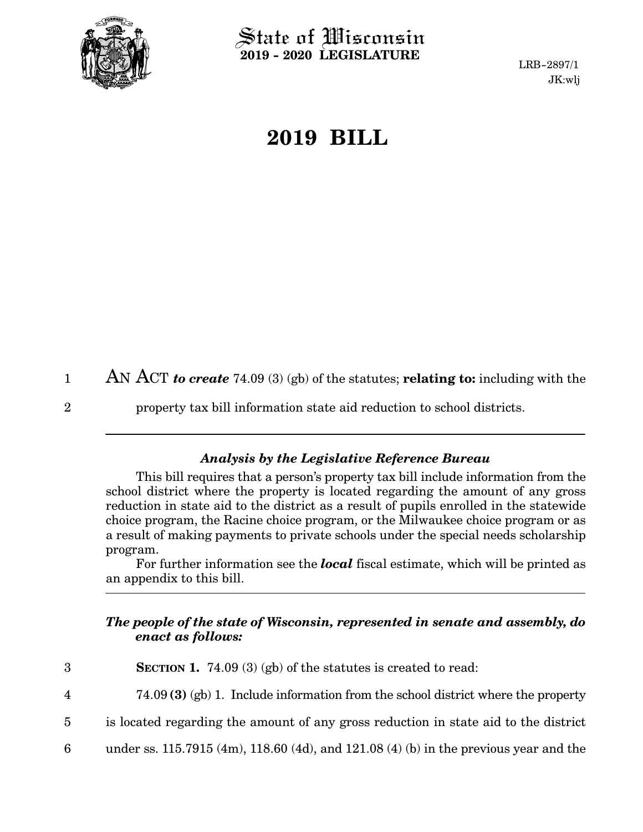

State of Wisconsin **2019 - 2020 LEGISLATURE**

LRB-2897/1 JK:wlj

# **2019 BILL**

AN ACT *to create* 74.09 (3) (gb) of the statutes; **relating to:** including with the 1

2

property tax bill information state aid reduction to school districts.

### *Analysis by the Legislative Reference Bureau*

This bill requires that a person's property tax bill include information from the school district where the property is located regarding the amount of any gross reduction in state aid to the district as a result of pupils enrolled in the statewide choice program, the Racine choice program, or the Milwaukee choice program or as a result of making payments to private schools under the special needs scholarship program.

For further information see the *local* fiscal estimate, which will be printed as an appendix to this bill.

## *The people of the state of Wisconsin, represented in senate and assembly, do enact as follows:*

| 3  | SECTION 1. 74.09 (3) (gb) of the statutes is created to read:                               |
|----|---------------------------------------------------------------------------------------------|
| 4  | $74.09(3)$ (gb) 1. Include information from the school district where the property          |
| 5  | is located regarding the amount of any gross reduction in state aid to the district         |
| 6. | under ss. $115.7915$ (4m), $118.60$ (4d), and $121.08$ (4) (b) in the previous year and the |